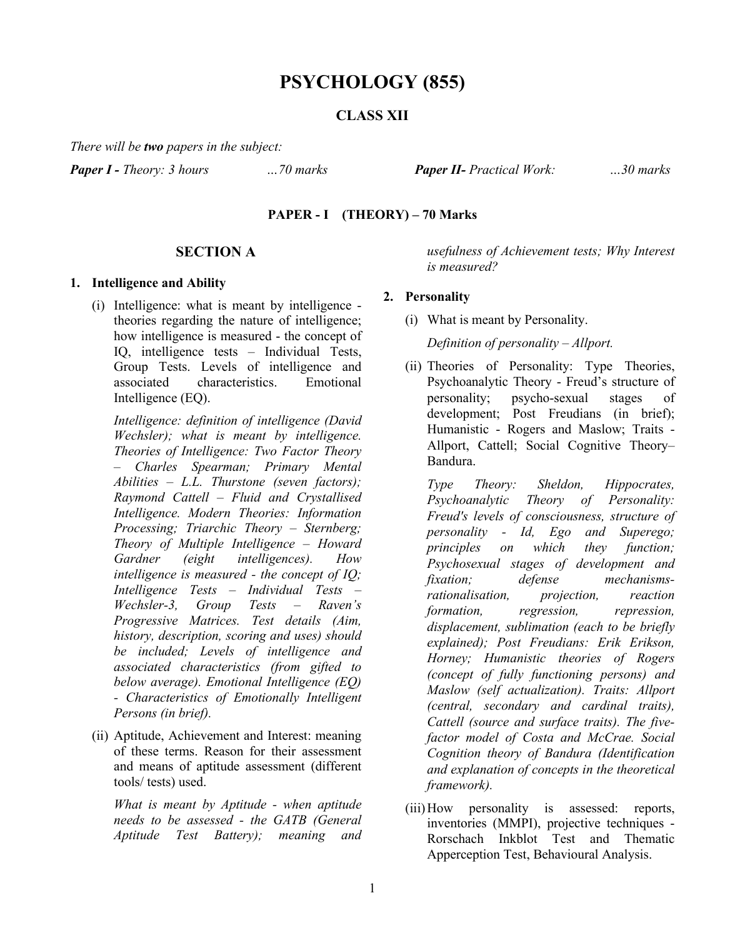# **PSYCHOLOGY (855)**

# **CLASS XII**

*There will be two papers in the subject:*

*Paper I - Theory: 3 hours …70 marks Paper II- Practical Work: …30 marks*

### **PAPER - I (THEORY) – 70 Marks**

# **SECTION A**

#### **1. Intelligence and Ability**

(i) Intelligence: what is meant by intelligence theories regarding the nature of intelligence; how intelligence is measured - the concept of IQ, intelligence tests – Individual Tests, Group Tests. Levels of intelligence and associated characteristics. Emotional Intelligence (EQ).

*Intelligence: definition of intelligence (David Wechsler); what is meant by intelligence. Theories of Intelligence: Two Factor Theory – Charles Spearman; Primary Mental Abilities – L.L. Thurstone (seven factors); Raymond Cattell – Fluid and Crystallised Intelligence. Modern Theories: Information Processing; Triarchic Theory – Sternberg; Theory of Multiple Intelligence – Howard Gardner (eight intelligences). How intelligence is measured - the concept of IQ; Intelligence Tests – Individual Tests – Wechsler-3, Group Tests – Raven's Progressive Matrices. Test details (Aim, history, description, scoring and uses) should be included; Levels of intelligence and associated characteristics (from gifted to below average). Emotional Intelligence (EQ) - Characteristics of Emotionally Intelligent Persons (in brief).*

(ii) Aptitude, Achievement and Interest: meaning of these terms. Reason for their assessment and means of aptitude assessment (different tools/ tests) used.

*What is meant by Aptitude - when aptitude needs to be assessed - the GATB (General Aptitude Test Battery); meaning and*  *usefulness of Achievement tests; Why Interest is measured?*

#### **2. Personality**

(i) What is meant by Personality.

*Definition of personality – Allport.*

(ii) Theories of Personality: Type Theories, Psychoanalytic Theory - Freud's structure of personality; psycho-sexual stages of development; Post Freudians (in brief); Humanistic - Rogers and Maslow; Traits - Allport, Cattell; Social Cognitive Theory– Bandura.

*Type Theory: Sheldon, Hippocrates, Psychoanalytic Theory of Personality: Freud's levels of consciousness, structure of personality - Id, Ego and Superego; principles on which they function; Psychosexual stages of development and fixation; defense mechanismsrationalisation, projection, reaction formation, regression, repression, displacement, sublimation (each to be briefly explained); Post Freudians: Erik Erikson, Horney; Humanistic theories of Rogers (concept of fully functioning persons) and Maslow (self actualization). Traits: Allport (central, secondary and cardinal traits), Cattell (source and surface traits). The fivefactor model of Costa and McCrae. Social Cognition theory of Bandura (Identification and explanation of concepts in the theoretical framework).* 

(iii)How personality is assessed: reports, inventories (MMPI), projective techniques - Rorschach Inkblot Test and Thematic Apperception Test, Behavioural Analysis.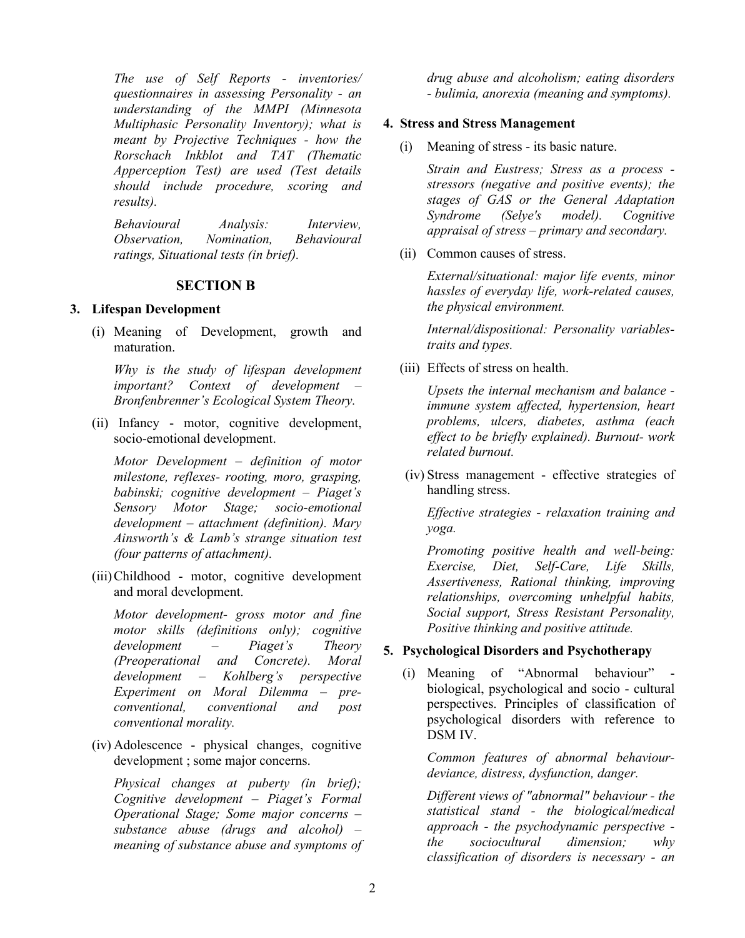*The use of Self Reports - inventories/ questionnaires in assessing Personality - an understanding of the MMPI (Minnesota Multiphasic Personality Inventory); what is meant by Projective Techniques - how the Rorschach Inkblot and TAT (Thematic Apperception Test) are used (Test details should include procedure, scoring and results).*

*Behavioural Analysis: Interview, Observation, Nomination, Behavioural ratings, Situational tests (in brief).*

### **SECTION B**

### **3. Lifespan Development**

(i) Meaning of Development, growth and maturation.

*Why is the study of lifespan development important? Context of development – Bronfenbrenner's Ecological System Theory.*

(ii) Infancy - motor, cognitive development, socio-emotional development.

*Motor Development – definition of motor milestone, reflexes- rooting, moro, grasping, babinski; cognitive development – Piaget's Sensory Motor Stage; socio-emotional development – attachment (definition). Mary Ainsworth's & Lamb's strange situation test (four patterns of attachment).*

(iii)Childhood - motor, cognitive development and moral development.

*Motor development- gross motor and fine motor skills (definitions only); cognitive development – Piaget's Theory (Preoperational and Concrete). Moral development – Kohlberg's perspective Experiment on Moral Dilemma – preconventional, conventional and post conventional morality.*

(iv) Adolescence - physical changes, cognitive development ; some major concerns.

*Physical changes at puberty (in brief); Cognitive development – Piaget's Formal Operational Stage; Some major concerns – substance abuse (drugs and alcohol) – meaning of substance abuse and symptoms of* *drug abuse and alcoholism; eating disorders - bulimia, anorexia (meaning and symptoms).*

### **4. Stress and Stress Management**

(i) Meaning of stress - its basic nature.

*Strain and Eustress; Stress as a process stressors (negative and positive events); the stages of GAS or the General Adaptation Syndrome (Selye's model). Cognitive appraisal of stress – primary and secondary.*

(ii) Common causes of stress.

*External/situational: major life events, minor hassles of everyday life, work-related causes, the physical environment.*

*Internal/dispositional: Personality variablestraits and types.* 

(iii) Effects of stress on health.

*Upsets the internal mechanism and balance immune system affected, hypertension, heart problems, ulcers, diabetes, asthma (each effect to be briefly explained). Burnout- work related burnout.*

(iv) Stress management - effective strategies of handling stress.

*Effective strategies - relaxation training and yoga.*

*Promoting positive health and well-being: Exercise, Diet, Self-Care, Life Skills, Assertiveness, Rational thinking, improving relationships, overcoming unhelpful habits, Social support, Stress Resistant Personality, Positive thinking and positive attitude.*

# **5. Psychological Disorders and Psychotherapy**

(i) Meaning of "Abnormal behaviour" biological, psychological and socio - cultural perspectives. Principles of classification of psychological disorders with reference to DSM IV.

*Common features of abnormal behaviourdeviance, distress, dysfunction, danger.*

*Different views of "abnormal" behaviour - the statistical stand - the biological/medical approach - the psychodynamic perspective the sociocultural dimension; why classification of disorders is necessary - an*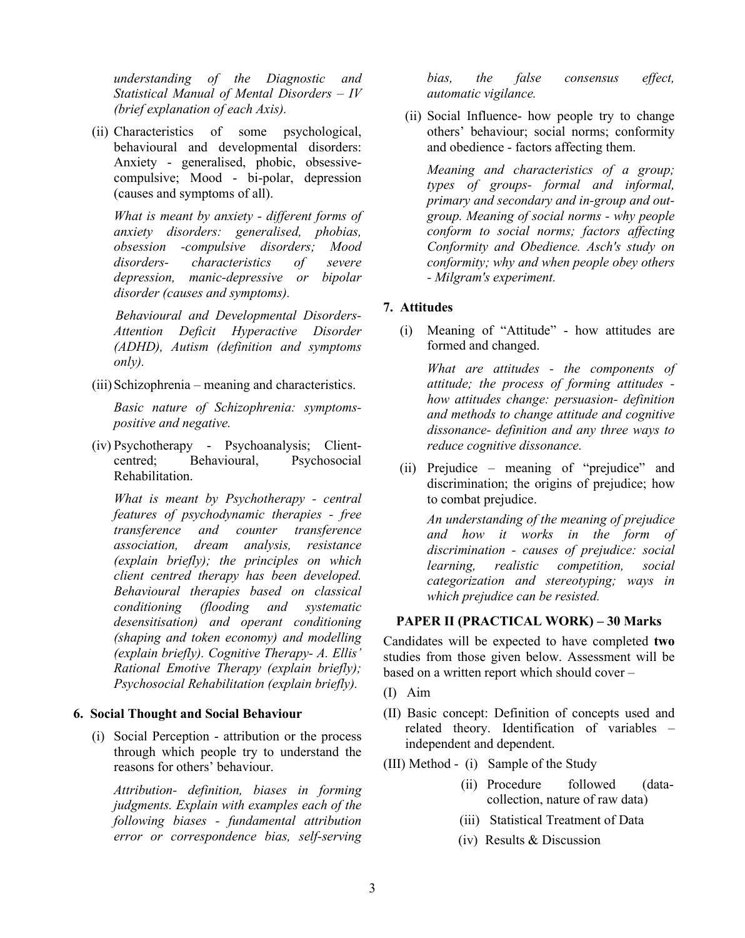*understanding of the Diagnostic and Statistical Manual of Mental Disorders – IV (brief explanation of each Axis).*

(ii) Characteristics of some psychological, behavioural and developmental disorders: Anxiety - generalised, phobic, obsessivecompulsive; Mood - bi-polar, depression (causes and symptoms of all).

*What is meant by anxiety - different forms of anxiety disorders: generalised, phobias, obsession -compulsive disorders; Mood disorders- characteristics of severe depression, manic-depressive or bipolar disorder (causes and symptoms).*

 *Behavioural and Developmental Disorders-Attention Deficit Hyperactive Disorder (ADHD), Autism (definition and symptoms only).*

(iii) Schizophrenia – meaning and characteristics.

*Basic nature of Schizophrenia: symptomspositive and negative.*

(iv) Psychotherapy - Psychoanalysis; Clientcentred; Behavioural, Psychosocial Rehabilitation.

*What is meant by Psychotherapy - central features of psychodynamic therapies - free transference and counter transference association, dream analysis, resistance (explain briefly); the principles on which client centred therapy has been developed. Behavioural therapies based on classical conditioning (flooding and systematic desensitisation) and operant conditioning (shaping and token economy) and modelling (explain briefly). Cognitive Therapy- A. Ellis' Rational Emotive Therapy (explain briefly); Psychosocial Rehabilitation (explain briefly).*

#### **6. Social Thought and Social Behaviour**

(i) Social Perception - attribution or the process through which people try to understand the reasons for others' behaviour.

*Attribution- definition, biases in forming judgments. Explain with examples each of the following biases - fundamental attribution error or correspondence bias, self-serving* *bias, the false consensus effect, automatic vigilance.*

(ii) Social Influence- how people try to change others' behaviour; social norms; conformity and obedience - factors affecting them.

*Meaning and characteristics of a group; types of groups- formal and informal, primary and secondary and in-group and outgroup. Meaning of social norms - why people conform to social norms; factors affecting Conformity and Obedience. Asch's study on conformity; why and when people obey others - Milgram's experiment.*

# **7. Attitudes**

(i) Meaning of "Attitude" - how attitudes are formed and changed.

*What are attitudes - the components of attitude; the process of forming attitudes how attitudes change: persuasion- definition and methods to change attitude and cognitive dissonance- definition and any three ways to reduce cognitive dissonance.*

(ii) Prejudice – meaning of "prejudice" and discrimination; the origins of prejudice; how to combat prejudice.

*An understanding of the meaning of prejudice and how it works in the form of discrimination - causes of prejudice: social learning, realistic competition, social categorization and stereotyping; ways in which prejudice can be resisted.* 

#### **PAPER II (PRACTICAL WORK) – 30 Marks**

Candidates will be expected to have completed **two** studies from those given below. Assessment will be based on a written report which should cover –

- (I) Aim
- (II) Basic concept: Definition of concepts used and related theory. Identification of variables – independent and dependent.
- (III) Method (i) Sample of the Study
	- (ii) Procedure followed (datacollection, nature of raw data)
	- (iii) Statistical Treatment of Data
	- (iv) Results & Discussion